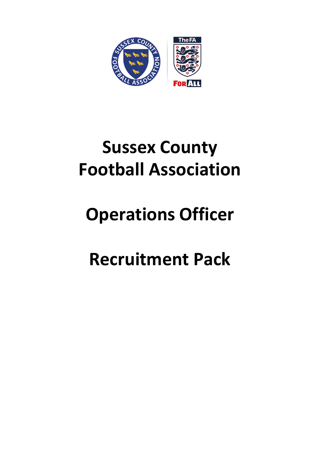

# **Sussex County Football Association**

# **Operations Officer**

# **Recruitment Pack**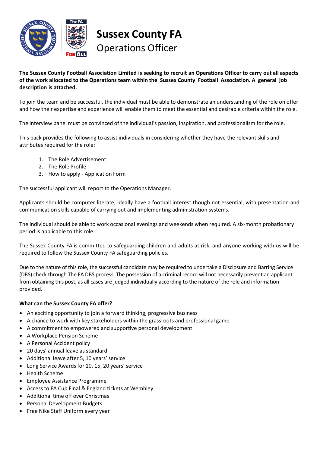

**Sussex County FA** Operations Officer

### The Sussex County Football Association Limited is seeking to recruit an Operations Officer to carry out all aspects **of the work allocated to the Operations team within the Sussex County Football Association. A general job description is attached.**

To join the team and be successful, the individual must be able to demonstrate an understanding of the role on offer and how their expertise and experience will enable them to meet the essential and desirable criteria within the role.

The interview panel must be convinced of the individual's passion, inspiration, and professionalism for the role.

This pack provides the following to assist individuals in considering whether they have the relevant skills and attributes required for the role:

- 1. The Role Advertisement
- 2. The Role Profile
- 3. How to apply Application Form

The successful applicant will report to the Operations Manager.

Applicants should be computer literate, ideally have a football interest though not essential, with presentation and communication skills capable of carrying out and implementing administration systems.

The individual should be able to work occasional evenings and weekends when required. A six-month probationary period is applicable to this role.

The Sussex County FA is committed to safeguarding children and adults at risk, and anyone working with us will be required to follow the Sussex County FA safeguarding policies.

Due to the nature of this role, the successful candidate may be required to undertake a Disclosure and Barring Service (DBS) check through The FA DBS process. The possession of a criminal record will not necessarily prevent an applicant from obtaining this post, as all cases are judged individually according to the nature of the role and information provided.

### **What can the Sussex County FA offer?**

- An exciting opportunity to join a forward thinking, progressive business
- A chance to work with key stakeholders within the grassroots and professional game
- A commitment to empowered and supportive personal development
- A Workplace Pension Scheme
- A Personal Accident policy
- 20 days' annual leave as standard
- Additional leave after 5, 10 years' service
- Long Service Awards for 10, 15, 20 years' service
- Health Scheme
- Employee Assistance Programme
- Access to FA Cup Final & England tickets at Wembley
- Additional time off over Christmas
- Personal Development Budgets
- Free Nike Staff Uniform every year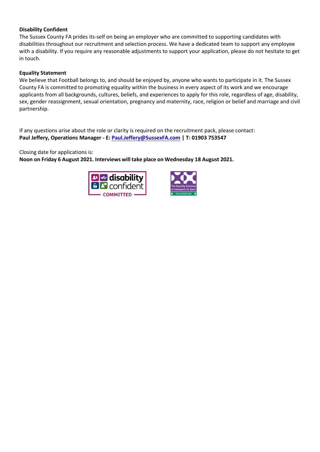#### **Disability Confident**

The Sussex County FA prides its-self on being an employer who are committed to supporting candidates with disabilities throughout our recruitment and selection process. We have a dedicated team to support any employee with a disability. If you require any reasonable adjustments to support your application, please do not hesitate to get in touch.

#### **Equality Statement**

We believe that Football belongs to, and should be enjoyed by, anyone who wants to participate in it. The Sussex County FA is committed to promoting equality within the business in every aspect of its work and we encourage applicants from all backgrounds, cultures, beliefs, and experiences to apply for this role, regardless of age, disability, sex, gender reassignment, sexual orientation, pregnancy and maternity, race, religion or belief and marriage and civil partnership.

If any questions arise about the role or clarity is required on the recruitment pack, please contact: **Paul Jeffery, Operations Manager - E: [Paul.Jeffery@SussexFA.com](mailto:Paul.Jeffery@SussexFA.com) | T: 01903 753547**

Closing date for applications is:

**Noon on Friday 6 August 2021. Interviews will take place on Wednesday 18 August 2021.** 



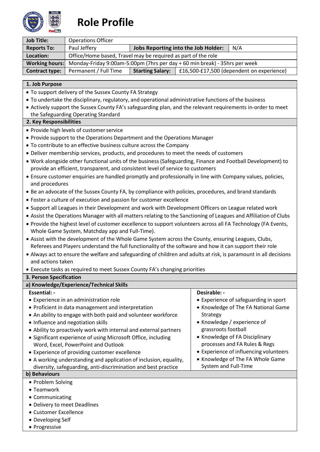

# **Role Profile**

| <b>Job Title:</b>     | <b>Operations Officer</b>                                                                |                         |                                     |                                           |
|-----------------------|------------------------------------------------------------------------------------------|-------------------------|-------------------------------------|-------------------------------------------|
| <b>Reports To:</b>    | Paul Jeffery                                                                             |                         | Jobs Reporting into the Job Holder: | N/A                                       |
| Location:             | Office/Home based, Travel may be required as part of the role                            |                         |                                     |                                           |
|                       | Working hours: Monday-Friday 9:00am-5:00pm (7hrs per day +60 min break) - 35hrs per week |                         |                                     |                                           |
| <b>Contract type:</b> | Permanent / Full Time                                                                    | <b>Starting Salary:</b> |                                     | £16,500-£17,500 (dependent on experience) |

#### **1. Job Purpose**

- To support delivery of the Sussex County FA Strategy
- To undertake the disciplinary, regulatory, and operational administrative functions of the business
- Actively support the Sussex County FA's safeguarding plan, and the relevant requirements in-order to meet the Safeguarding Operating Standard

#### **2. Key Responsibilities**

- Provide high levels of customerservice
- Provide support to the Operations Department and the Operations Manager
- To contribute to an effective business culture across the Company
- Deliver membership services, products, and procedures to meet the needs of customers
- Work alongside other functional units of the business (Safeguarding, Finance and Football Development) to provide an efficient, transparent, and consistent level of service to customers
- Ensure customer enquiries are handled promptly and professionally in line with Company values, policies, and procedures
- Be an advocate of the Sussex County FA, by compliance with policies, procedures, and brand standards
- Foster a culture of execution and passion for customer excellence
- Support all Leagues in their Development and work with Development Officers on League related work
- Assist the Operations Manager with all matters relating to the Sanctioning of Leagues and Affiliation of Clubs
- Provide the highest level of customer excellence to support volunteers across all FA Technology (FA Events, Whole Game System, Matchday app and Full-Time).
- Assist with the development of the Whole Game System across the County, ensuring Leagues, Clubs, Referees and Players understand the full functionality of the software and how it can support their role
- Always act to ensure the welfare and safeguarding of children and adults at risk, is paramount in all decisions and actions taken
- Execute tasks as required to meet Sussex County FA's changing priorities

#### **3. Person Specification a) Knowledge/Experience/Technical Skills Essential: -** • Experience in an administration role • Proficient in data management and interpretation • An ability to engage with both paid and volunteer workforce • Influence and negotiation skills • Ability to proactively work with internal and external partners • Significant experience of using Microsoft Office, including Word, Excel, PowerPoint and Outlook • Experience of providing customer excellence • A working understanding and application of inclusion, equality, diversity, safeguarding, anti-discrimination and best practice **Desirable: -** • Experience of safeguarding in sport • Knowledge of The FA National Game Strategy • Knowledge / experience of grassroots football • Knowledge of FA Disciplinary processes and FA Rules & Regs • Experience of influencing volunteers • Knowledge of The FA Whole Game System and Full-Time **b) Behaviours** • Problem Solving • Teamwork • Communicating • Delivery to meet Deadlines • Customer Excellence • Developing Self

• Progressive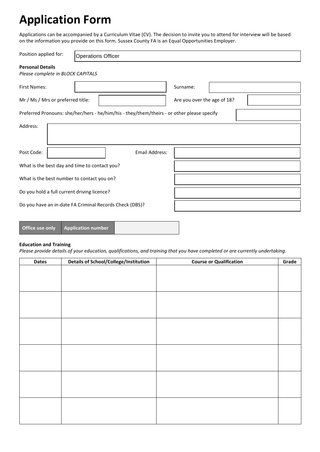# **Application Form**

Applications can be accompanied by a Curriculum Vitae (CV). The decision to invite you to attend for interview will be based on the information you provide on this form. Sussex County FA is an Equal Opportunities Employer.

| Position applied for:                                        | <b>Operations Officer</b>                                                                  |                             |  |
|--------------------------------------------------------------|--------------------------------------------------------------------------------------------|-----------------------------|--|
| <b>Personal Details</b><br>Please complete in BLOCK CAPITALS |                                                                                            |                             |  |
| <b>First Names:</b>                                          |                                                                                            | Surname:                    |  |
| Mr / Ms / Mrs or preferred title:                            |                                                                                            | Are you over the age of 18? |  |
|                                                              | Preferred Pronouns: she/her/hers - he/him/his - they/them/theirs - or other please specify |                             |  |
| Address:                                                     |                                                                                            |                             |  |
| Post Code:                                                   | Email Address:                                                                             |                             |  |
| What is the best day and time to contact you?                |                                                                                            |                             |  |
| What is the best number to contact you on?                   |                                                                                            |                             |  |
| Do you hold a full current driving licence?                  |                                                                                            |                             |  |
|                                                              | Do you have an in-date FA Criminal Records Check (DBS)?                                    |                             |  |
|                                                              |                                                                                            |                             |  |

| Office use only | <b>Application number</b> |  |
|-----------------|---------------------------|--|
|-----------------|---------------------------|--|

### **Education and Training**

*Please provide details of your education, qualifications, and training that you have completed or are currently undertaking.* 

| <b>Dates</b> | Details of School/College/Institution | <b>Course or Qualification</b> | Grade |
|--------------|---------------------------------------|--------------------------------|-------|
|              |                                       |                                |       |
|              |                                       |                                |       |
|              |                                       |                                |       |
|              |                                       |                                |       |
|              |                                       |                                |       |
|              |                                       |                                |       |
|              |                                       |                                |       |
|              |                                       |                                |       |
|              |                                       |                                |       |
|              |                                       |                                |       |
|              |                                       |                                |       |
|              |                                       |                                |       |
|              |                                       |                                |       |
|              |                                       |                                |       |
|              |                                       |                                |       |
|              |                                       |                                |       |
|              |                                       |                                |       |
|              |                                       |                                |       |
|              |                                       |                                |       |
|              |                                       |                                |       |
|              |                                       |                                |       |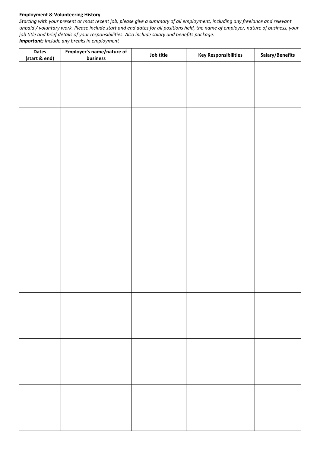#### **Employment & Volunteering History**

*Starting with your present or most recent job, please give a summary of all employment, including any freelance and relevant unpaid / voluntary work. Please include start and end dates for all positions held, the name of employer, nature of business, your job title and brief details of your responsibilities. Also include salary and benefits package. Important: Include any breaks in employment*

| <b>Dates</b><br>(start & end) | Employer's name/nature of<br>business | Job title | <b>Key Responsibilities</b> | Salary/Benefits |
|-------------------------------|---------------------------------------|-----------|-----------------------------|-----------------|
|                               |                                       |           |                             |                 |
|                               |                                       |           |                             |                 |
|                               |                                       |           |                             |                 |
|                               |                                       |           |                             |                 |
|                               |                                       |           |                             |                 |
|                               |                                       |           |                             |                 |
|                               |                                       |           |                             |                 |
|                               |                                       |           |                             |                 |
|                               |                                       |           |                             |                 |
|                               |                                       |           |                             |                 |
|                               |                                       |           |                             |                 |
|                               |                                       |           |                             |                 |
|                               |                                       |           |                             |                 |
|                               |                                       |           |                             |                 |
|                               |                                       |           |                             |                 |
|                               |                                       |           |                             |                 |
|                               |                                       |           |                             |                 |
|                               |                                       |           |                             |                 |
|                               |                                       |           |                             |                 |
|                               |                                       |           |                             |                 |
|                               |                                       |           |                             |                 |
|                               |                                       |           |                             |                 |
|                               |                                       |           |                             |                 |
|                               |                                       |           |                             |                 |
|                               |                                       |           |                             |                 |
|                               |                                       |           |                             |                 |
|                               |                                       |           |                             |                 |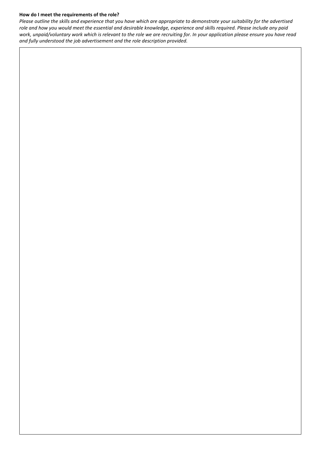#### **How do I meet the requirements of the role?**

*Please outline the skills and experience that you have which are appropriate to demonstrate your suitability for the advertised role and how you would meet the essential and desirable knowledge, experience and skills required. Please include any paid work, unpaid/voluntary work which is relevant to the role we are recruiting for. In your application please ensure you have read and fully understood the job advertisement and the role description provided.*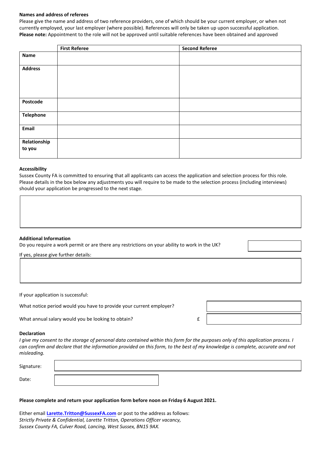#### **Names and address of referees**

Please give the name and address of two reference providers, one of which should be your current employer, or when not currently employed, your last employer (where possible). References will only be taken up upon successful application. **Please note:** Appointment to the role will not be approved until suitable references have been obtained and approved

|                        | <b>First Referee</b> | <b>Second Referee</b> |
|------------------------|----------------------|-----------------------|
| <b>Name</b>            |                      |                       |
| <b>Address</b>         |                      |                       |
| Postcode               |                      |                       |
| <b>Telephone</b>       |                      |                       |
| Email                  |                      |                       |
| Relationship<br>to you |                      |                       |

#### **Accessibility**

Sussex County FA is committed to ensuring that all applicants can access the application and selection process for this role. Please details in the box below any adjustments you will require to be made to the selection process (including interviews) should your application be progressed to the next stage.

#### **Additional Information**

Do you require a work permit or are there any restrictions on your ability to work in the UK?

If yes, please give further details:

If your application is successful:

What notice period would you have to provide your current employer?

What annual salary would you be looking to obtain? The same same same set of  $E$ 

#### **Declaration**

*I give my consent to the storage of personal data contained within this form for the purposes only of this application process. I can confirm and declare that the information provided on this form, to the best of my knowledge is complete, accurate and not misleading.*

| Signature: |  |
|------------|--|
| Date:      |  |

#### **Please complete and return your application form before noon on Friday 6 August 2021.**

Either email **Larette.Tritton@SussexFA.com** or post to the address as follows: *Strictly Private & Confidential, Larette Tritton, Operations Officer vacancy, Sussex County FA, Culver Road, Lancing, West Sussex, BN15 9AX.*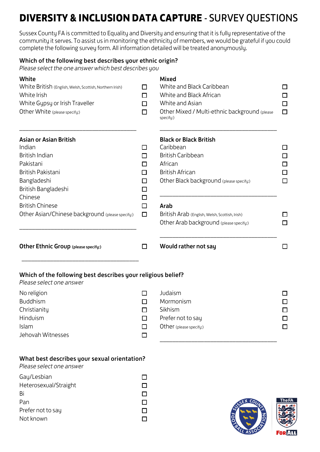# **DIVERSITY & INCLUSION DATA CAPTURE** - SURVEY QUESTIONS

Sussex County FA is committed to Equality and Diversity and ensuring that it is fully representative of the community it serves. To assist us in monitoring the ethnicity of members, we would be grateful if you could complete the following survey form. All information detailed will be treated anonymously.

# Which of the following best describes your ethnic origin?

*Please select the one answer which best describes you*

| White<br>White British (English, Welsh, Scottish, Northern Irish)<br>White Irish<br>White Gypsy or Irish Traveller<br>Other White (please specify:) | П<br>П<br>□<br>□           | <b>Mixed</b><br>White and Black Caribbean<br>White and Black African<br>White and Asian<br>Other Mixed / Multi-ethnic background (please<br>specify:)   | □<br>□<br>$\Box$<br>$\Box$      |
|-----------------------------------------------------------------------------------------------------------------------------------------------------|----------------------------|---------------------------------------------------------------------------------------------------------------------------------------------------------|---------------------------------|
| <b>Asian or Asian British</b><br>Indian<br>British Indian<br>Pakistani<br>British Pakistani<br>Bangladeshi<br>British Bangladeshi                   | ப<br>П<br>□<br>П<br>□<br>□ | <b>Black or Black British</b><br>Caribbean<br><b>British Caribbean</b><br>African<br><b>British African</b><br>Other Black background (please specify:) | ப<br>□<br>⊡<br>$\Box$<br>$\Box$ |
| Chinese<br><b>British Chinese</b><br>Other Asian/Chinese background (please specify:)                                                               | $\Box$<br>□<br>$\Box$      | Arab<br>British Arab (English, Welsh, Scottish, Irish)<br>Other Arab background (please specify:)                                                       | П<br>□                          |
| Other Ethnic Group (please specify:)                                                                                                                | □                          | Would rather not say                                                                                                                                    | □                               |
| Which of the following best describes your religious belief?<br>Please select one answer                                                            |                            |                                                                                                                                                         |                                 |
| No religion<br><b>Buddhism</b><br>Christianity<br>Hinduism<br>Islam<br>Jehovah Witnesses                                                            | П<br>П<br>H<br>□           | Judaism<br>Mormonism<br>Sikhism<br>Prefer not to say<br>Other (please specify:)                                                                         | ΙI<br>$\Box$<br>ΙI              |
| What best describes your sexual orientation?<br>Please select one answer                                                                            |                            |                                                                                                                                                         |                                 |
| Gay/Lesbian<br>Heterosexual/Straight<br>Bi<br>Pan<br>Prefer not to say                                                                              | □<br>$\Box$<br>$\Box$      |                                                                                                                                                         | The F                           |

 $\Box$